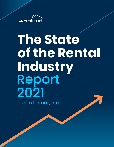

# **The State of the Rental Industry** Report 2021 TurboTenant, Inc.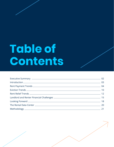# **Table of Contents**

| Introduction 2003  |  |
|--------------------|--|
|                    |  |
|                    |  |
|                    |  |
|                    |  |
| Looking Forward 18 |  |
|                    |  |
|                    |  |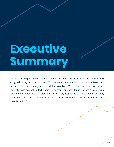# **Executive Summary**

Despite positive job growth, spending and increased vaccine availability, many renters still struggled to pay rent throughout 2021. Ultimately, the one tool to combat missed rent payments, rent relief, was jumbled and slow to roll out. Most renters were not even aware rent relief was available, a fact worsened by many landlords' failure to communicate with their tenants about rental assistance programs. Still, despite the poor distribution of funds, the wave of evictions predicted to occur at the end of the eviction moratorium did not materialize in 2021.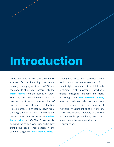## **Introduction**

[latest report](https://www.bls.gov/news.release/empsit.nr0.htm) from the Bureau of Labor **home price** to \$354,000. Consequently, [historic seller's market drove the](https://www.marketwatch.com/picks/dont-expect-prices-to-fall-3-prominent-economists-and-analysts-on-whether-were-in-a-housing-bubble-or-not-01639349113) **median** summer, triggering **[rental bidding wars](https://www.cnbc.com/2021/08/11/rental-bidding-wars-heat-up-as-economy-improves-in-tight-housing-market.html).** Compared to 2020, 2021 saw several new external factors impacting the rental industry. Unemployment rates in 2021 did the opposite of last year - according to the Statistics, the unemployment rate has dropped to 4.2% and the number of unemployed people dropped to 6.9 million - both numbers significantly down from their highs in April of 2020. Meanwhile, the demand for rentals went up, particularly during the peak rental season in the

According to the **[Pew Research Center](https://www.pewresearch.org/fact-tank/2021/08/02/as-national-eviction-ban-expires-a-look-at-who-rents-and-who-owns-in-the-u-s/),**  $\blacksquare$ Throughout this, we surveyed both landlords and renters across the U.S. to gain insights into current rental trends regarding rent payments, evictions, financial struggles, rent relief and more. most landlords are individuals who own just a few units, with the number of individual investors sitting at 14.1 million. These independent landlords, also known as mom-and-pop landlords, and their tenants were the main participants in our surveys.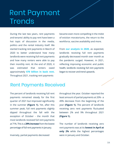### Rent Payment **Trends**

approximately **[\\$70 billion in back rent.](https://www.forbes.com/sites/billconerly/2021/01/19/the-back-rent-problem-wont-hurt-the-economy/?sh=41768e255a67)** During the last two years, rent payments and tenants' ability to pay rent have been a hot topic of discussion in the media, politics and the rental industry itself. We started tracking rent payments in March of 2020 to better understand how many landlords were receiving full rent payments and how many renters were able to pay their monthly rent. At the end of 2020, it was estimated that renters owed Throughout 2021, tracking rent payments

became even more compelling in the midst of eviction moratoriums, the return to the workforce, vaccine availability and more.

From **our analysis in 2020**, as expected, landlords receiving full rent payments gradually decreased month over month as the pandemic surged. However, in 2021, reflecting improving economic and public health, landlords receiving full rent payments began to recover and trend upwards.

#### Rent Payments Received

The percent of landlords receiving full rent payments remained steady for the first quarter of 2021 but improved significantly in the summer **(Figure 1).** Yet, after this summer peak, full rent payments slightly dipped throughout the fall with the exception of October - the month that most landlords received full rent payments at 71%. This is a **29% increase** from the lowest percentage of full rent payments in January.

Inversely, partial payments decreased

throughout the year. October reported the least amount of partial payments at 20% - a 49% decrease from the beginning of the year **(Figure 1).** The percent of landlords receiving zero rent payments fluctuated between 2% and 9% throughout 2021 **(Figure 1).**

The number of landlords receiving zero rent payments was at its **lowest in April at only 2%** while the highest percentages were in January and October.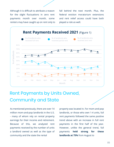Although it is difficult to attribute a reason for the slight fluctuations in zero rent payments month over month, some renters may have caught up on rent only to fall behind the next month. Plus, the federal eviction moratorium extensions and rent relief access could have both played a role as well.



### Rent Payments by Units Owned, Community and State

As mentioned previously, there are over 14 million mom-and-pop landlords in the U.S. - many of whom rely on rental property earnings for their income and retirement. Because of this, we analyzed rent payments received by the number of units a landlord owned as well as the type of community and the state the rental

property was located in. For mom-and-pop landlords, or those who own 1-4 units, full rent payments followed the same positive trend above with an increase in full rent payments in the first half of the year. However, unlike the general trend, full payments **held strong for these landlords at 75%** from August to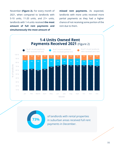November **(Figure 2).** For every month of 2021, when compared to landlords with 5-10 units, 11-20 units, and 21+ units, landlords with 1-4 units received **the most amount of full rent payments and simultaneously the most amount of** 

**missed rent payments.** As expected, landlords with more units received more partial payments as they had a higher chance of not receiving some portion of the rent due to them.





of landlords with rental properties in suburban areas received full rent payments in December.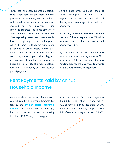Throughout the year, suburban landlords consistently received the most full rent payments. In December, 73% of landlords with rental properties in suburban areas received full rent payments. Rural landlords reported the most amount of zero payments throughout the year with **15% reporting zero rent payments in June** - the highest percentage of the year. When it came to landlords with rental properties in urban areas, month over month they had the least amount of full rent payments, **yet the highest percentage of partial payments.** In December, only 60% of urban landlords received full payments, but 32% received partial payments.

At the state level, Colorado landlords consistently reported the most full rent payments while New York landlords had the highest percentage of missed rent payments.

In January, **Colorado landlords received the most full rent payments** at 73% while New York landlords had the most missed payments at 20%.

By December, Colorado landlords still received the most rent payments at 88%, an increase of 20% since January, while New York landlords had the most missed payments at 28%, a **40% increase since January.**

### Rent Payments Paid by Annual Household Income

context, the **median rental household income** in 2020 was \$43,000. Unsurprisingly, We also analyzed the percent of renters who paid full rent by their income brackets. For for most of the year, households making less than \$50,000 a year struggled the

most to make full rent payments **(Figure 3**). The exception is October, where 73% of renters making less than \$50,000 made full rent payments, compared with 64% of renters making more than \$75,000.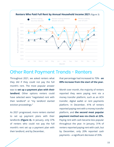

#### **Other Rent Payment Trends - Renters**

Throughout 2021, we asked renters what they did if they could not pay the full month's rent. The most popular answer was to **set up a payment plan with their landlord.** Other options renters could have selected were "negotiated rent with their landlord" or "my landlord started eviction proceedings."

As 2021 progressed, more renters started to set up payment plans with their landlords **(Figure 4).** In January, only 37% of renters who could not pay the full month's rent set up a payment plan with their landlord, and by December,

that percentage had increased to 70% - **an 89% increase from the start of the year.**

Month over month, the majority of renters reported they were paying rent via a money transfer platform, such as an ACH transfer, digital wallet or rent payments platform. In December, 41% of renters reported paying rent with a money transfer platform, and **the second most popular payment method was via check at 22%.**  Paying rent with cash became less popular throughout the year. In January, 31% of renters reported paying rent with cash, but by December, only 20% reported cash payments - a significant decrease of 35%.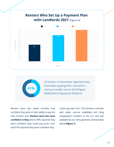#### **Renters Who Set Up a Payment Plan with Landlords 2021** (Figure 4)



**41%**

of renters in December reported they have been paying their rent with a money transfer via an ACH/Digital Wallet/Rent Payments Platform.

Renters were also asked monthly how confident they were in their ability to pay the next month's rent. **Renters were the most confident in May** where 90% reported they were confident they could pay June's rent, and 91% reported they were confident they

could pay July's rent. This timeline coincides with wider vaccine availability and rising employment numbers in the U.S. and was validated by our rent payments received data above **(Figure 1).**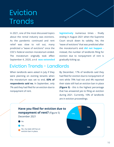## Eviction **Trends**

September 4, 2020, and **was extended** In 2021, one of the most discussed topics about the rental industry was evictions. As the pandemic continued and rent relief was slow to ro[ll out, many](https://crsreports.congress.gov/product/pdf/IN/IN11516#:~:text=The%20CDC%20eviction%20moratorium%20took,CDC%20through%20March%2031%2C%202021.)  predicted a "wave of evictions" once the CDC's federal eviction moratorium ended. The moratorium originally took effect

**legislatively** numerous times - finally the moratorium's end <mark>[did not happen](https://www.forbes.com/sites/graisondangor/2021/10/08/feared-wave-of-evictions-hasnt-happened-yet/?sh=515ec21d76d4)</mark> ending in August 2021 when the Supreme Court struck down its validity. Yet, the "wave of evictions" that was predicted after instead, the number of landlords filing for eviction due to nonpayment of rent is gradually ticking up.

#### Eviction Trends - Landlords

When landlords were asked in July if they were planning on evicting tenants when the moratorium was set to end, **83% of respondents said no.** In September, only 7% said they had filed for an eviction due to nonpayment of rent.

By December, 17% of landlords said they had filed for eviction due to nonpayment of rent while 79% had not and 4% reported their state still had an eviction ban in place **(Figure 5)** - this is the highest percentage that has answered yes to filing an eviction during 2021. Currently, 10% of landlords are in eviction proceedings.

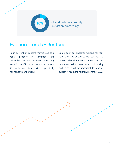

of landlords are currently in eviction proceedings.

#### Eviction Trends - Renters

Four percent of renters moved out of a rental property in November and December because they were anticipating an eviction. Of those that did move out, 21% anticipated being evicted specifically for nonpayment of rent.

Some point to landlords waiting for rent relief checks to be sent to their tenants as a reason why the eviction wave has not happened. With many renters still owing back rent, it will be important to monitor eviction filings in the next few months of 2022.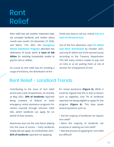## Rent Relief

and March 11th, 2021, the <mark>Emergency</mark><br><mark>Rental Assistance Program</mark> allocated two and March 11th, 2021, the Emergency Rent relief was yet another important topic we surveyed landlords and renters about month over month. On December 27, 2020, allotments of funds worth **a total of \$46 billion** for assisting households unable to pay for rent or utilities.

As crucial as rent relief was for avoiding a surge of evictions, the distribution of the

lack of infrastructure. [funds was slow to roll out, mainly](https://www.forbes.com/advisor/personal-finance/emergency-rental-assistance-funding-2021/) <mark>due to a</mark>

[Out of the first allotment, only](https://www.cnn.com/2021/12/03/homes/rent-relief-us-government-reallocated/index.html) **\$12 billion had been distributed** by October 2021, and only \$1 billion out of the second round, according to the Treasury Department. This left many renters unable to pay rent on time or at all, putting them at risk of eviction for nonpayment of rent.

#### Rent Relief - Landlord Trends

Contributing to the issue of rent relief access was a lack of awareness. As recently as May 2021, **39% of landlords** reported being unaware of federal or state emergency rental assistance programs for renters enacted through stimulus relief bills, which landlords can apply for on behalf of their tenants.

Awareness was not the only factor playing into the issue of access – many landlords simply did not apply. As of December 2021, **82% of landlords** reported not applying

for rental assistance **(Figure 6).** While it could be argued that this is due to factors such as eligibility, only 7% of landlords reported not being eligible to apply for the program **(Figure 6).** This data poses several questions such as:

- Did the majority of landlords not require rent relief?
- Were the majority of landlords not proactive in seeking out rent relief?
- Was the process of applying for rent relief too difficult?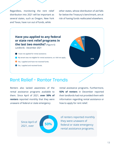Regardless, monitoring the rent relief distribution into 2021 will be important as several states, such as Oregon, New York and Texas, have run out of funds, while

other states, whose distribution of aid falls far below the Treasury's benchmark, are at risk of having funds reallocated elsewhere.

#### **Have you applied to any federal or state rent relief programs in the last two months?** (Figure 6) I have not applied for rental assistance. My tenant was not eligible for rental assistance, so I did not apply. Yes, I applied and have not received funds. Yes, I applied and received funds. **82% 7% 6% 4%** Landlords - December 2021

#### Rent Relief - Renter Trends

Renters also lacked awareness of the rental assistance programs available to them. Since April of 2021, **over 50% of renters** reported monthly that they were unaware of federal or state emergency

rental assistance programs. Furthermore, **92% of renters** in December reported their landlords had not provided them with information regarding rental assistance or how to apply for rent relief.



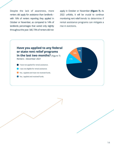Despite the lack of awareness, more renters did apply for assistance than landlords with 16% of renters reporting they applied in October or November, as compared to 14% of landlords; percentages that varied only slightly throughout the year. Still, 73% of renters did not

apply in October or November **(Figure 7).** As 2022 unfolds, it will be crucial to continue monitoring rent relief trends to determine if rental assistance programs can mitigate a rise in evictions.

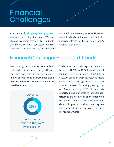### Financial **Challenges**

As evidenced by dropping unemployment **rates** and increasing hiring rates, 2021 saw obvious economic recovery. For landlords, this meant receiving consistent full rent payments, and for renters, the ability to

make full, on-time rent payments. However, many landlords and renters still felt the lingering effects of the previous year's financial challenges.

#### Financial Challenges - Landlord Trends

Even among tenants who were able to make full rent payments, many still owed their landlord rent from an earlier date known as back rent. In December alone, **29% of landlords** reported they were owed back rent.



While most landlords reported amounts between \$1,000 to \$2,000 owed, several landlords were due upwards of \$25,000 to \$50,000. Based on these figures, one might expect high mortgage forbearance and foreclosure rates. Surprisingly enough, as of December, only 0.5% of landlords reported being in mortgage forbearance **(Figure 8)** and just 1.7% of landlords reported selling their home to avoid foreclosure. This data could point to landlords reaching into their personal savings or salary to cover mortgage payments.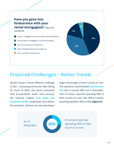#### Landlords **Have you gone into forbearance with your rental mortgage(s)?** (Figure 8)

- I have a mortgage but have not gone into forbearance.
- I do not have a mortgage on my rental property.
- I am not currently in forbearance.
- I was in forbearance but no longer am.
- I am currently in forbearance.



### **Financial Challenges - Renter Trends**

**increased 16.4%,** rising faster than before the national median rent price has Renters faced a whole different challenge in 2021 - increasing rent prices. After falling for much of 2020, rent prices surpassed their pre-pandemic levels. Since January, the pandemic. Renters are now spending a

The standard recommended **rent-to-income** [ratio is around 30%, but in December,](https://www.turbotenant.com/rent-to-income-ratio-calculator/) larger percentage of their income on rent. 25% of renters reported spending 50% of their income on rent, with 49% of renters spending between 30% to 50% **(Figure 9).**

As of December, **25%**



of renters reported spending 50% of their income on rent.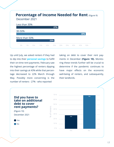| Less than 30% |     |
|---------------|-----|
|               |     |
| 27%           |     |
| 30-50%        |     |
|               | 49% |
| More than 50% |     |
| 25%           |     |

to dip into their **[personal savings](https://fred.stlouisfed.org/series/PSAVERT)** to fulfill Up until July, we asked renters if they had their on-time rent payments. February saw the highest percentage of renters dipping into their savings at 43% while that percentage decreased to 22% March through May. Possibly more concerning is the number of renters - 27% - who reported

taking on debt to cover their rent payments in December **(Figure 10).** Monitoring these trends further will be crucial to determine if the pandemic continues to have major effects on the economic well-being of renters, and subsequently, their landlords.

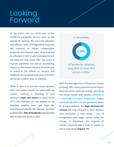### Looking Forward

As we move into our third year of the COVID-19 pandemic, factors such as the spread of variants, the vaccine's adoption and efficacy rates, and legislative response will continue to impact independent landlords and tenants alike. How they will be affected in 2022 is yet to be determined, but what we now know after two years is that the pandemic has had an astonishing impact on the rental industry. It will be vital to watch if the effects on renters and landlords are lessened next year or if there will be yet another year of volatility.

While a return to normal rental demand and rent prices would be welcomed by renters, nothing is trending in that direction. **High rent prices** in many of the U.S.'s top markets do not appear to be dropping anytime soon and have the momentum to rise into the new year. As recent as December, **53% of landlords** reported they plan to raise rent prices in 2022.



[a shortage of rental properties.](https://www.businessinsider.com/should-i-buy-house-corelogic-biggest-price-increase-45-years-2021-12) Unless the rental market with renters, **leading to** With the average price of American homes jumping 18%, many potential home buyers were forced to continue renting, saturating home prices return to pre-pandemic levels or at least stabilize, the **high demand for rentals** will only increase in 2022. Renters may encounter a new reality - one of competition and longer search times for rentals. In December, the majority of renters reported that it took 4+ weeks to find a new rental **(Figure 11).**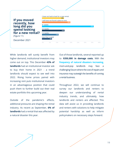

While landlords will surely benefit from cout of those landlords, several reported up higher demand, institutional investors may come out on top. This December **43% of landlords** had an institutional investor ask to buy their home in 2021 - a trend landlords should expect to see well into 2022. Rising home prices paired with increasing rent puts institutional investors in an advantageous position that could push them to further build out their real estate portfolio this upcoming year.

Outside of the pandemic's effects, additional pressures are shaping the rental industry. As recent as September, **6% of landlords** had a rental that was affected by a natural disaster this year.

to **\$350,000 in damage costs.** With the **[frequency of natural disasters increasing,](https://public.wmo.int/en/media/press-release/weather-related-disasters-increase-over-past-50-years-causing-more-damage-fewer)** mom-and-pop landlords may face a challenging future where the cost of repairs and insurance may outweigh the benefits of running a rental business.

Throughout 2022, we will continue to survey our landlords and renters to deepen our understanding of rental industry trends, and ultimately, how landlords and renters are affected. This data will assist us in providing landlords and renters with solutions to help mitigate potential hardship as well as inform policymakers on necessary steps forward.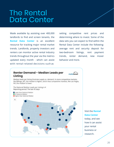### The Rental Data Center

**Rental Data Center** is an excellent Made available by assisting over 400,000 [landlords to find and screen tenants, the](https://www.turbotenant.com/rental-data-center/)  resource for tracking major rental market trends. Landlords, property investors and renters can monitor active rental industry trends throughout the year via the metrics updated every month - which can assist with rental-related decisions such as

setting competitive rent prices and determining where to invest. Some of the data sets you can expect to find within the Rental Data Center include the following: average rent and security deposit for two-bedroom listings, rent payment trends, renter demand, new mover behavior and more.

#### Renter Demand - Median Leads per Listing



Median leads per listing illustrate supply vs. demand. In more competitive markets, like Billings, MT, the median is higher, and in less competitive markets, like Las Vegas, NV, the median is lower.

The National Median Leads per Listing is 4 Reporting period: The last 45 days



**Data Center** Visit the **Rental** [today, and see](https://www.turbotenant.com/rental-data-center/)  how it can assist your rental business or research.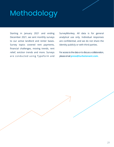## Methodology

Starting in January 2021 and ending December 2021, we sent monthly surveys to our active landlord and renter bases. Survey topics covered rent payments, financial challenges, moving trends, rent relief, eviction trends and more. Surveys are conducted using Typeform and SurveyMonkey. All data is for general analytical use only. Individual responses are confidential, and we do not share the identity publicly or with third parties.

For access to the data or to discuss a collaboration, please email **press@turbotenant.com.**